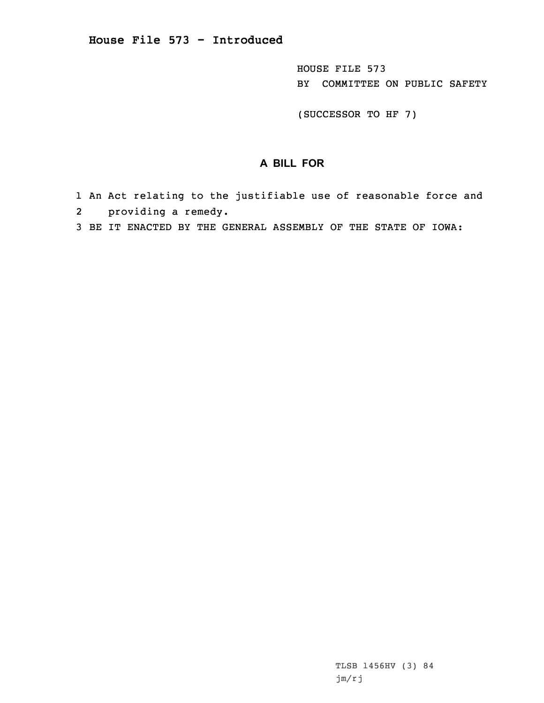HOUSE FILE 573 BY COMMITTEE ON PUBLIC SAFETY

(SUCCESSOR TO HF 7)

## **A BILL FOR**

- 1 An Act relating to the justifiable use of reasonable force and 2 providing <sup>a</sup> remedy.
- 3 BE IT ENACTED BY THE GENERAL ASSEMBLY OF THE STATE OF IOWA: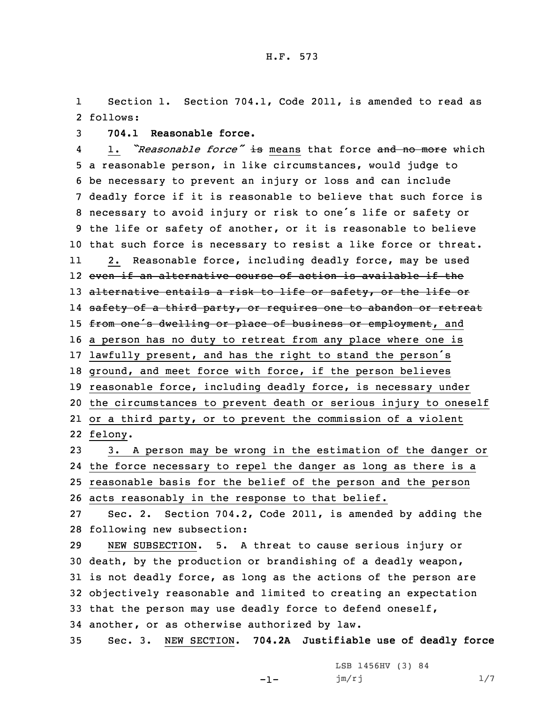1 Section 1. Section 704.1, Code 2011, is amended to read as 2 follows:

3 **704.1 Reasonable force.**

4 1. *"Reasonable force"* is means that force and no more which <sup>a</sup> reasonable person, in like circumstances, would judge to be necessary to prevent an injury or loss and can include deadly force if it is reasonable to believe that such force is necessary to avoid injury or risk to one's life or safety or the life or safety of another, or it is reasonable to believe that such force is necessary to resist <sup>a</sup> like force or threat. 11 2. Reasonable force, including deadly force, may be used even if an alternative course of action is available if the 13 alternative entails a risk to life or safety, or the life or l4 <del>safety of a third party, or requires one to abandon or retreat</del> 15 from one's dwelling or place of business or employment, and <sup>a</sup> person has no duty to retreat from any place where one is lawfully present, and has the right to stand the person's ground, and meet force with force, if the person believes reasonable force, including deadly force, is necessary under the circumstances to prevent death or serious injury to oneself or <sup>a</sup> third party, or to prevent the commission of <sup>a</sup> violent 22 felony.

 3. <sup>A</sup> person may be wrong in the estimation of the danger or the force necessary to repel the danger as long as there is <sup>a</sup> reasonable basis for the belief of the person and the person acts reasonably in the response to that belief.

27 Sec. 2. Section 704.2, Code 2011, is amended by adding the 28 following new subsection:

 NEW SUBSECTION. 5. <sup>A</sup> threat to cause serious injury or death, by the production or brandishing of <sup>a</sup> deadly weapon, is not deadly force, as long as the actions of the person are objectively reasonable and limited to creating an expectation that the person may use deadly force to defend oneself, another, or as otherwise authorized by law.

35 Sec. 3. NEW SECTION. **704.2A Justifiable use of deadly force**

-1-

LSB 1456HV (3) 84 jm/rj 1/7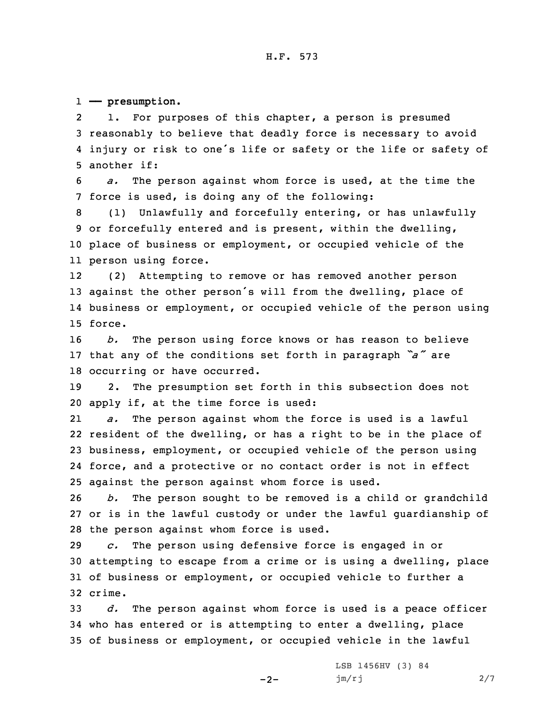1 **—— presumption.**

2 1. For purposes of this chapter, <sup>a</sup> person is presumed 3 reasonably to believe that deadly force is necessary to avoid 4 injury or risk to one's life or safety or the life or safety of 5 another if:

6 *a.* The person against whom force is used, at the time the 7 force is used, is doing any of the following:

 (1) Unlawfully and forcefully entering, or has unlawfully or forcefully entered and is present, within the dwelling, place of business or employment, or occupied vehicle of the person using force.

12 (2) Attempting to remove or has removed another person <sup>13</sup> against the other person's will from the dwelling, place of 14 business or employment, or occupied vehicle of the person using 15 force.

16 *b.* The person using force knows or has reason to believe <sup>17</sup> that any of the conditions set forth in paragraph *"a"* are 18 occurring or have occurred.

19 2. The presumption set forth in this subsection does not 20 apply if, at the time force is used:

21 *a.* The person against whom the force is used is <sup>a</sup> lawful resident of the dwelling, or has <sup>a</sup> right to be in the place of business, employment, or occupied vehicle of the person using force, and <sup>a</sup> protective or no contact order is not in effect against the person against whom force is used.

26 *b.* The person sought to be removed is <sup>a</sup> child or grandchild 27 or is in the lawful custody or under the lawful guardianship of 28 the person against whom force is used.

 *c.* The person using defensive force is engaged in or attempting to escape from <sup>a</sup> crime or is using <sup>a</sup> dwelling, place of business or employment, or occupied vehicle to further <sup>a</sup> 32 crime.

33 *d.* The person against whom force is used is <sup>a</sup> peace officer 34 who has entered or is attempting to enter <sup>a</sup> dwelling, place 35 of business or employment, or occupied vehicle in the lawful

 $-2-$ 

LSB 1456HV (3) 84 jm/rj 2/7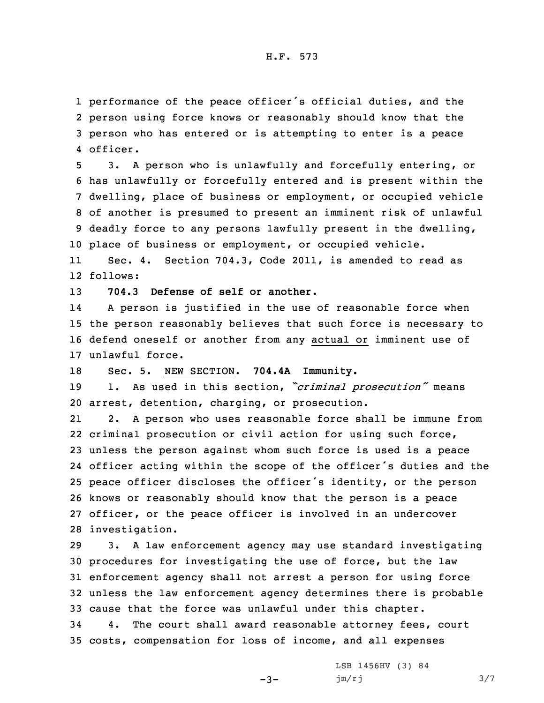## H.F. 573

 performance of the peace officer's official duties, and the person using force knows or reasonably should know that the person who has entered or is attempting to enter is <sup>a</sup> peace 4 officer.

 3. <sup>A</sup> person who is unlawfully and forcefully entering, or has unlawfully or forcefully entered and is present within the dwelling, place of business or employment, or occupied vehicle of another is presumed to present an imminent risk of unlawful deadly force to any persons lawfully present in the dwelling, place of business or employment, or occupied vehicle.

11 Sec. 4. Section 704.3, Code 2011, is amended to read as 12 follows:

13 **704.3 Defense of self or another.**

14 <sup>A</sup> person is justified in the use of reasonable force when 15 the person reasonably believes that such force is necessary to 16 defend oneself or another from any actual or imminent use of 17 unlawful force.

18 Sec. 5. NEW SECTION. **704.4A Immunity.**

<sup>19</sup> 1. As used in this section, *"criminal prosecution"* means 20 arrest, detention, charging, or prosecution.

21 2. <sup>A</sup> person who uses reasonable force shall be immune from criminal prosecution or civil action for using such force, unless the person against whom such force is used is <sup>a</sup> peace officer acting within the scope of the officer's duties and the peace officer discloses the officer's identity, or the person knows or reasonably should know that the person is <sup>a</sup> peace officer, or the peace officer is involved in an undercover investigation.

 3. <sup>A</sup> law enforcement agency may use standard investigating procedures for investigating the use of force, but the law enforcement agency shall not arrest <sup>a</sup> person for using force unless the law enforcement agency determines there is probable cause that the force was unlawful under this chapter. 4. The court shall award reasonable attorney fees, court costs, compensation for loss of income, and all expenses

 $-3-$ 

LSB 1456HV (3) 84  $jm/rj$  3/7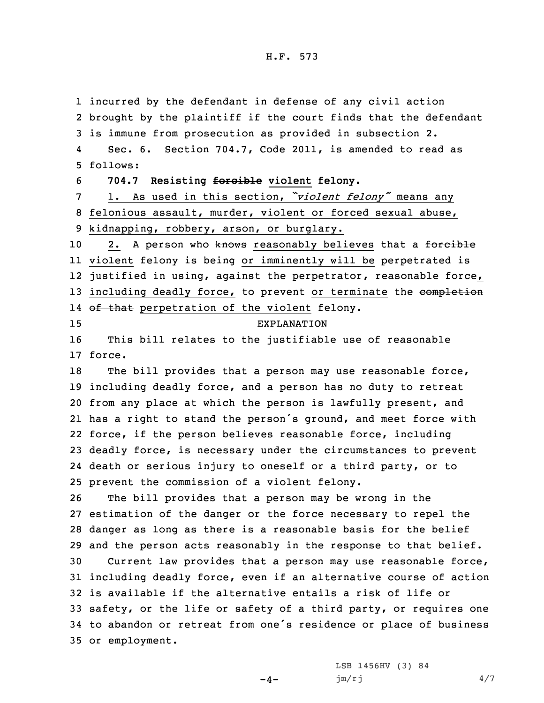## H.F. 573

 incurred by the defendant in defense of any civil action brought by the plaintiff if the court finds that the defendant is immune from prosecution as provided in subsection 2. 4 Sec. 6. Section 704.7, Code 2011, is amended to read as 5 follows: **704.7 Resisting forcible violent felony.** 1. As used in this section, *"violent felony"* means any felonious assault, murder, violent or forced sexual abuse, kidnapping, robbery, arson, or burglary. 10 2. A person who knows reasonably believes that a forcible violent felony is being or imminently will be perpetrated is justified in using, against the perpetrator, reasonable force, 13 including deadly force, to prevent or terminate the completion 14 <del>of that</del> perpetration of the violent felony. EXPLANATION This bill relates to the justifiable use of reasonable 17 force. The bill provides that <sup>a</sup> person may use reasonable force, including deadly force, and <sup>a</sup> person has no duty to retreat from any place at which the person is lawfully present, and has <sup>a</sup> right to stand the person's ground, and meet force with force, if the person believes reasonable force, including deadly force, is necessary under the circumstances to prevent death or serious injury to oneself or <sup>a</sup> third party, or to prevent the commission of <sup>a</sup> violent felony. The bill provides that <sup>a</sup> person may be wrong in the estimation of the danger or the force necessary to repel the danger as long as there is <sup>a</sup> reasonable basis for the belief and the person acts reasonably in the response to that belief. Current law provides that <sup>a</sup> person may use reasonable force, including deadly force, even if an alternative course of action is available if the alternative entails <sup>a</sup> risk of life or safety, or the life or safety of <sup>a</sup> third party, or requires one to abandon or retreat from one's residence or place of business or employment.

 $-4-$ 

LSB 1456HV (3) 84 jm/rj 4/7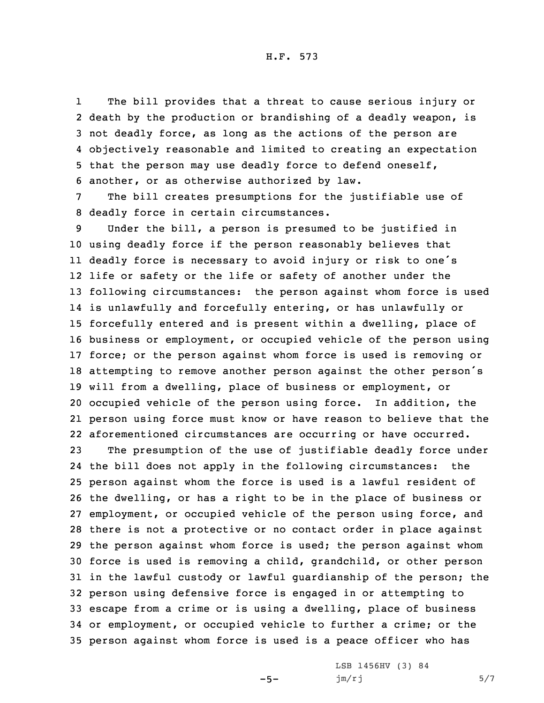H.F. 573

1 The bill provides that <sup>a</sup> threat to cause serious injury or death by the production or brandishing of <sup>a</sup> deadly weapon, is not deadly force, as long as the actions of the person are objectively reasonable and limited to creating an expectation that the person may use deadly force to defend oneself, another, or as otherwise authorized by law.

7 The bill creates presumptions for the justifiable use of 8 deadly force in certain circumstances.

 Under the bill, <sup>a</sup> person is presumed to be justified in using deadly force if the person reasonably believes that deadly force is necessary to avoid injury or risk to one's life or safety or the life or safety of another under the following circumstances: the person against whom force is used is unlawfully and forcefully entering, or has unlawfully or forcefully entered and is present within <sup>a</sup> dwelling, place of business or employment, or occupied vehicle of the person using force; or the person against whom force is used is removing or attempting to remove another person against the other person's will from <sup>a</sup> dwelling, place of business or employment, or occupied vehicle of the person using force. In addition, the person using force must know or have reason to believe that the aforementioned circumstances are occurring or have occurred.

 The presumption of the use of justifiable deadly force under the bill does not apply in the following circumstances: the person against whom the force is used is <sup>a</sup> lawful resident of the dwelling, or has <sup>a</sup> right to be in the place of business or employment, or occupied vehicle of the person using force, and there is not <sup>a</sup> protective or no contact order in place against the person against whom force is used; the person against whom force is used is removing <sup>a</sup> child, grandchild, or other person in the lawful custody or lawful guardianship of the person; the person using defensive force is engaged in or attempting to escape from <sup>a</sup> crime or is using <sup>a</sup> dwelling, place of business or employment, or occupied vehicle to further <sup>a</sup> crime; or the person against whom force is used is <sup>a</sup> peace officer who has

 $-5-$ 

LSB 1456HV (3) 84  $jm/rj$  5/7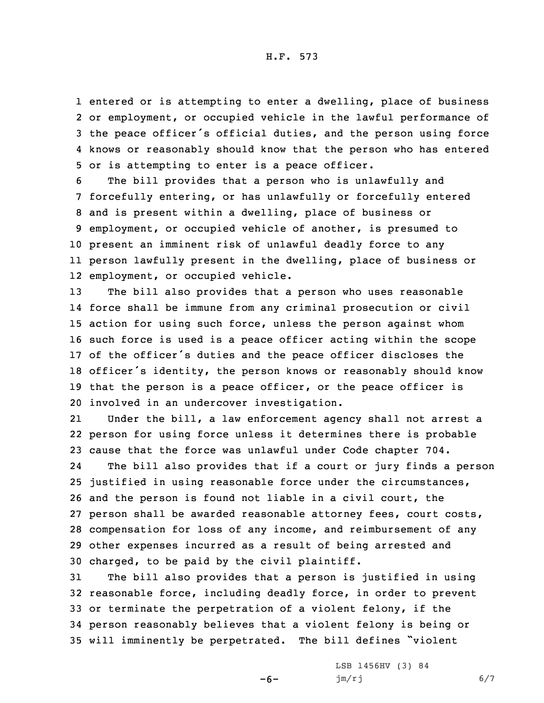entered or is attempting to enter <sup>a</sup> dwelling, place of business or employment, or occupied vehicle in the lawful performance of the peace officer's official duties, and the person using force knows or reasonably should know that the person who has entered or is attempting to enter is <sup>a</sup> peace officer.

 The bill provides that <sup>a</sup> person who is unlawfully and forcefully entering, or has unlawfully or forcefully entered and is present within <sup>a</sup> dwelling, place of business or employment, or occupied vehicle of another, is presumed to present an imminent risk of unlawful deadly force to any person lawfully present in the dwelling, place of business or employment, or occupied vehicle.

 The bill also provides that <sup>a</sup> person who uses reasonable force shall be immune from any criminal prosecution or civil action for using such force, unless the person against whom such force is used is <sup>a</sup> peace officer acting within the scope of the officer's duties and the peace officer discloses the officer's identity, the person knows or reasonably should know that the person is <sup>a</sup> peace officer, or the peace officer is involved in an undercover investigation.

21 Under the bill, <sup>a</sup> law enforcement agency shall not arrest <sup>a</sup> 22 person for using force unless it determines there is probable 23 cause that the force was unlawful under Code chapter 704.

24 The bill also provides that if <sup>a</sup> court or jury finds <sup>a</sup> person justified in using reasonable force under the circumstances, and the person is found not liable in <sup>a</sup> civil court, the person shall be awarded reasonable attorney fees, court costs, compensation for loss of any income, and reimbursement of any other expenses incurred as <sup>a</sup> result of being arrested and charged, to be paid by the civil plaintiff.

 The bill also provides that <sup>a</sup> person is justified in using reasonable force, including deadly force, in order to prevent or terminate the perpetration of <sup>a</sup> violent felony, if the person reasonably believes that <sup>a</sup> violent felony is being or will imminently be perpetrated. The bill defines "violent

-6-

LSB 1456HV (3) 84 jm/rj 6/7